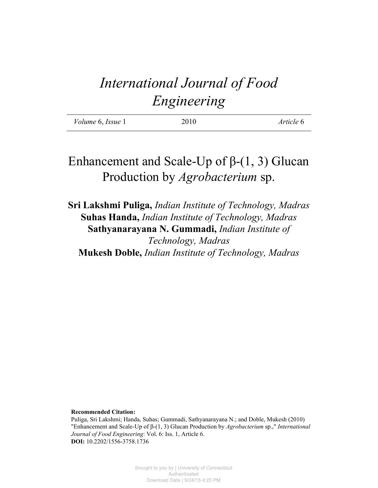# *International Journal of Food Engineering*

| <i>Volume</i> 6, <i>Issue</i> 1 | 2010 | Article 6 |
|---------------------------------|------|-----------|
|                                 |      |           |

# Enhancement and Scale-Up of  $\beta$ -(1, 3) Glucan Production by *Agrobacterium* sp.

**Sri Lakshmi Puliga,** *Indian Institute of Technology, Madras* **Suhas Handa,** *Indian Institute of Technology, Madras* **Sathyanarayana N. Gummadi,** *Indian Institute of Technology, Madras* **Mukesh Doble,** *Indian Institute of Technology, Madras*

**Recommended Citation:**

Puliga, Sri Lakshmi; Handa, Suhas; Gummadi, Sathyanarayana N.; and Doble, Mukesh (2010) "Enhancement and Scale-Up of β-(1, 3) Glucan Production by *Agrobacterium* sp.," *International Journal of Food Engineering*: Vol. 6: Iss. 1, Article 6. **DOI:** 10.2202/1556-3758.1736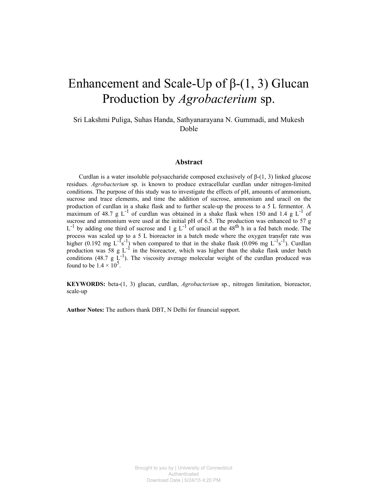# Enhancement and Scale-Up of  $\beta$ -(1, 3) Glucan Production by *Agrobacterium* sp.

Sri Lakshmi Puliga, Suhas Handa, Sathyanarayana N. Gummadi, and Mukesh Doble

#### **Abstract**

Curdlan is a water insoluble polysaccharide composed exclusively of β-(1, 3) linked glucose residues. *Agrobacterium* sp. is known to produce extracellular curdlan under nitrogen-limited conditions. The purpose of this study was to investigate the effects of pH, amounts of ammonium, sucrose and trace elements, and time the addition of sucrose, ammonium and uracil on the production of curdlan in a shake flask and to further scale-up the process to a 5 L fermentor. A maximum of 48.7 g  $L^{-1}$  of curdlan was obtained in a shake flask when 150 and 1.4 g  $L^{-1}$  of sucrose and ammonium were used at the initial pH of 6.5. The production was enhanced to 57 g  $L^{-1}$  by adding one third of sucrose and 1 g  $L^{-1}$  of uracil at the 48<sup>th</sup> h in a fed batch mode. The process was scaled up to a 5 L bioreactor in a batch mode where the oxygen transfer rate was higher (0.192 mg  $L^{-1}s^{-1}$ ) when compared to that in the shake flask (0.096 mg  $L^{-1}s^{-1}$ ). Curdlan production was 58 g  $L^{-1}$  in the bioreactor, which was higher than the shake flask under batch conditions (48.7 g  $\tilde{L}^{-1}$ ). The viscosity average molecular weight of the curdlan produced was found to be  $1.4 \times 10^5$ .

**KEYWORDS:** beta-(1, 3) glucan, curdlan, *Agrobacterium* sp., nitrogen limitation, bioreactor, scale-up

**Author Notes:** The authors thank DBT, N Delhi for financial support.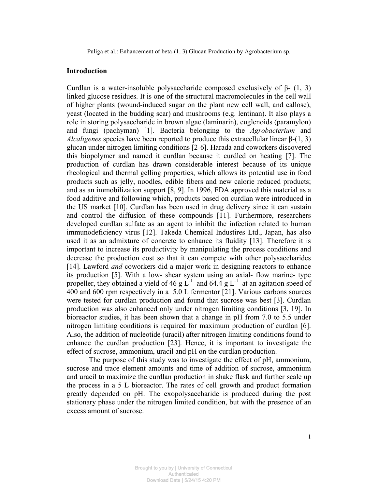#### **Introduction**

Curdlan is a water-insoluble polysaccharide composed exclusively of  $β - (1, 3)$ linked glucose residues. It is one of the structural macromolecules in the cell wall of higher plants (wound-induced sugar on the plant new cell wall, and callose), yeast (located in the budding scar) and mushrooms (e.g. lentinan). It also plays a role in storing polysaccharide in brown algae (laminarin), euglenoids (paramylon) and fungi (pachyman) [1]. Bacteria belonging to the *Agrobacterium* and *Alcaligenes* species have been reported to produce this extracellular linear  $\beta$ - $(1, 3)$ glucan under nitrogen limiting conditions [2-6]. Harada and coworkers discovered this biopolymer and named it curdlan because it curdled on heating [7]. The production of curdlan has drawn considerable interest because of its unique rheological and thermal gelling properties, which allows its potential use in food products such as jelly, noodles, edible fibers and new calorie reduced products; and as an immobilization support [8, 9]. In 1996, FDA approved this material as a food additive and following which, products based on curdlan were introduced in the US market [10]. Curdlan has been used in drug delivery since it can sustain and control the diffusion of these compounds [11]. Furthermore, researchers developed curdlan sulfate as an agent to inhibit the infection related to human immunodeficiency virus [12]. Takeda Chemical Industires Ltd., Japan, has also used it as an admixture of concrete to enhance its fluidity [13]. Therefore it is important to increase its productivity by manipulating the process conditions and decrease the production cost so that it can compete with other polysaccharides [14]. Lawford *and* coworkers did a major work in designing reactors to enhance its production [5]. With a low- shear system using an axial- flow marine- type propeller, they obtained a yield of 46 g  $\tilde{L}^{-1}$  and 64.4 g  $\tilde{L}^{-1}$  at an agitation speed of 400 and 600 rpm respectively in a 5.0 L fermentor [21]. Various carbons sources were tested for curdlan production and found that sucrose was best [3]. Curdlan production was also enhanced only under nitrogen limiting conditions [3, 19]. In bioreactor studies, it has been shown that a change in pH from 7.0 to 5.5 under nitrogen limiting conditions is required for maximum production of curdlan [6]. Also, the addition of nucleotide (uracil) after nitrogen limiting conditions found to enhance the curdlan production [23]. Hence, it is important to investigate the effect of sucrose, ammonium, uracil and pH on the curdlan production.

The purpose of this study was to investigate the effect of pH, ammonium, sucrose and trace element amounts and time of addition of sucrose, ammonium and uracil to maximize the curdlan production in shake flask and further scale up the process in a 5 L bioreactor. The rates of cell growth and product formation greatly depended on pH. The exopolysaccharide is produced during the post stationary phase under the nitrogen limited condition, but with the presence of an excess amount of sucrose.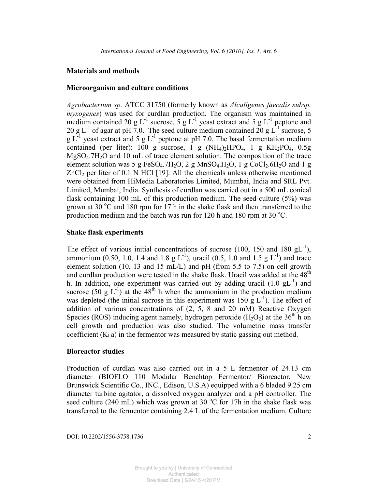#### **Materials and methods**

#### **Microorganism and culture conditions**

*Agrobacterium sp.* ATCC 31750 (formerly known as *Alcaligenes faecalis subsp. myxogenes*) was used for curdlan production. The organism was maintained in medium contained 20 g  $L^{-1}$  sucrose, 5 g  $L^{-1}$  yeast extract and 5 g  $L^{-1}$  peptone and 20 g L<sup>-1</sup> of agar at pH 7.0. The seed culture medium contained 20 g L<sup>-1</sup> sucrose, 5 g  $L^{-1}$  yeast extract and 5 g  $L^{-1}$  peptone at pH 7.0. The basal fermentation medium contained (per liter): 100 g sucrose, 1 g  $(NH_4)_2HPO_4$ , 1 g  $KH_2PO_4$ , 0.5g  $MgSO<sub>4</sub>$ .7H<sub>2</sub>O and 10 mL of trace element solution. The composition of the trace element solution was 5 g FeSO<sub>4</sub>.7H<sub>2</sub>O, 2 g MnSO<sub>4</sub>.H<sub>2</sub>O, 1 g CoCl<sub>2</sub>.6H<sub>2</sub>O and 1 g  $ZnCl<sub>2</sub>$  per liter of 0.1 N HCl [19]. All the chemicals unless otherwise mentioned were obtained from HiMedia Laboratories Limited, Mumbai, India and SRL Pvt. Limited, Mumbai, India. Synthesis of curdlan was carried out in a 500 mL conical flask containing 100 mL of this production medium. The seed culture (5%) was grown at 30  $^{\circ}$ C and 180 rpm for 17 h in the shake flask and then transferred to the production medium and the batch was run for 120 h and 180 rpm at 30  $^{\circ}$ C.

#### **Shake flask experiments**

The effect of various initial concentrations of sucrose (100, 150 and 180  $gL^{-1}$ ), ammonium (0.50, 1.0, 1.4 and 1.8 g L<sup>-1</sup>), uracil (0.5, 1.0 and 1.5 g L<sup>-1</sup>) and trace element solution (10, 13 and 15 mL/L) and pH (from 5.5 to 7.5) on cell growth and curdlan production were tested in the shake flask. Uracil was added at the  $48<sup>th</sup>$ h. In addition, one experiment was carried out by adding uracil  $(1.0 \text{ gL}^{-1})$  and sucrose (50 g  $L^{-1}$ ) at the 48<sup>th</sup> h when the ammonium in the production medium was depleted (the initial sucrose in this experiment was 150 g  $L^{-1}$ ). The effect of addition of various concentrations of (2, 5, 8 and 20 mM) Reactive Oxygen Species (ROS) inducing agent namely, hydrogen peroxide ( $H_2O_2$ ) at the 36<sup>th</sup> h on cell growth and production was also studied. The volumetric mass transfer coefficient  $(K<sub>L</sub>a)$  in the fermentor was measured by static gassing out method.

#### **Bioreactor studies**

Production of curdlan was also carried out in a 5 L fermentor of 24.13 cm diameter (BIOFLO 110 Modular Benchtop Fermentor/ Bioreactor, New Brunswick Scientific Co., INC., Edison, U.S.A) equipped with a 6 bladed 9.25 cm diameter turbine agitator, a dissolved oxygen analyzer and a pH controller. The seed culture (240 mL) which was grown at 30  $^{\circ}$ C for 17h in the shake flask was transferred to the fermentor containing 2.4 L of the fermentation medium. Culture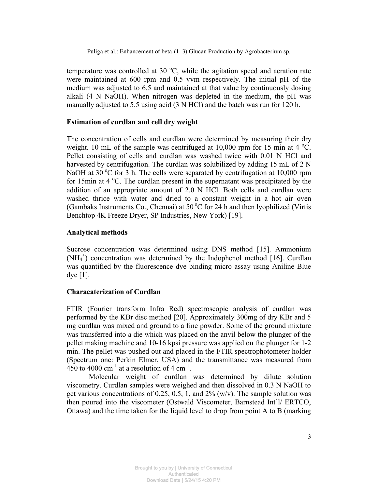temperature was controlled at 30  $^{\circ}$ C, while the agitation speed and aeration rate were maintained at 600 rpm and 0.5 vvm respectively. The initial pH of the medium was adjusted to 6.5 and maintained at that value by continuously dosing alkali (4 N NaOH). When nitrogen was depleted in the medium, the pH was manually adjusted to 5.5 using acid (3 N HCl) and the batch was run for 120 h.

### **Estimation of curdlan and cell dry weight**

The concentration of cells and curdlan were determined by measuring their dry weight. 10 mL of the sample was centrifuged at  $10,000$  rpm for 15 min at 4 °C. Pellet consisting of cells and curdlan was washed twice with 0.01 N HCl and harvested by centrifugation. The curdlan was solubilized by adding 15 mL of 2 N NaOH at 30  $^{\circ}$ C for 3 h. The cells were separated by centrifugation at 10,000 rpm for 15min at 4  $\degree$ C. The curdlan present in the supernatant was precipitated by the addition of an appropriate amount of 2.0 N HCl. Both cells and curdlan were washed thrice with water and dried to a constant weight in a hot air oven (Gambaks Instruments Co., Chennai) at  $50^{\circ}$ C for 24 h and then lyophilized (Virtis Benchtop 4K Freeze Dryer, SP Industries, New York) [19].

# **Analytical methods**

Sucrose concentration was determined using DNS method [15]. Ammonium  $(NH<sub>4</sub><sup>+</sup>)$  concentration was determined by the Indophenol method [16]. Curdlan was quantified by the fluorescence dye binding micro assay using Aniline Blue dye [1].

# **Characaterization of Curdlan**

FTIR (Fourier transform Infra Red) spectroscopic analysis of curdlan was performed by the KBr disc method [20]. Approximately 300mg of dry KBr and 5 mg curdlan was mixed and ground to a fine powder. Some of the ground mixture was transferred into a die which was placed on the anvil below the plunger of the pellet making machine and 10-16 kpsi pressure was applied on the plunger for 1-2 min. The pellet was pushed out and placed in the FTIR spectrophotometer holder (Spectrum one: Perkin Elmer, USA) and the transmittance was measured from 450 to 4000 cm<sup>-1</sup> at a resolution of 4 cm<sup>-1</sup>.

Molecular weight of curdlan was determined by dilute solution viscometry. Curdlan samples were weighed and then dissolved in 0.3 N NaOH to get various concentrations of 0.25, 0.5, 1, and  $2\%$  (w/v). The sample solution was then poured into the viscometer (Ostwald Viscometer, Barnstead Int'l/ ERTCO, Ottawa) and the time taken for the liquid level to drop from point A to B (marking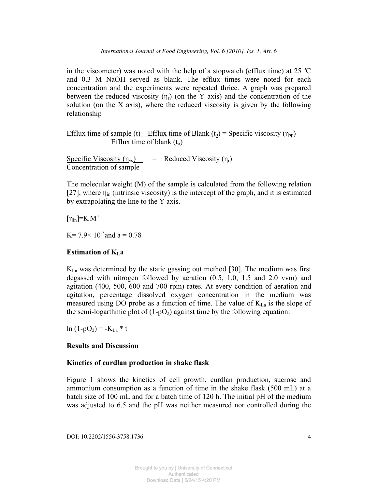in the viscometer) was noted with the help of a stopwatch (efflux time) at  $25 \degree C$ and 0.3 M NaOH served as blank. The efflux times were noted for each concentration and the experiments were repeated thrice. A graph was prepared between the reduced viscosity  $(\eta_r)$  (on the Y axis) and the concentration of the solution (on the X axis), where the reduced viscosity is given by the following relationship

Efflux time of sample (t) – Efflux time of Blank (t<sub>o</sub>) = Specific viscosity ( $\eta_{sp}$ ) Efflux time of blank  $(t_0)$ 

Specific Viscosity  $(\eta_{sp})$  = Reduced Viscosity  $(\eta_r)$ Concentration of sample

The molecular weight (M) of the sample is calculated from the following relation [27], where  $\eta_{in}$  (intrinsic viscosity) is the intercept of the graph, and it is estimated by extrapolating the line to the Y axis.

 $[\eta_{in}]$ =K $M^a$ 

K =  $7.9 \times 10^{-3}$  and a = 0.78

#### **Estimation of KLa**

 $K_{\text{La}}$  was determined by the static gassing out method [30]. The medium was first degassed with nitrogen followed by aeration (0.5, 1.0, 1.5 and 2.0 vvm) and agitation (400, 500, 600 and 700 rpm) rates. At every condition of aeration and agitation, percentage dissolved oxygen concentration in the medium was measured using DO probe as a function of time. The value of  $K_{La}$  is the slope of the semi-logarthmic plot of  $(1-pO<sub>2</sub>)$  against time by the following equation:

 $ln(1-pO_2) = -K_{La} * t$ 

#### **Results and Discussion**

#### **Kinetics of curdlan production in shake flask**

Figure 1 shows the kinetics of cell growth, curdlan production, sucrose and ammonium consumption as a function of time in the shake flask (500 mL) at a batch size of 100 mL and for a batch time of 120 h. The initial pH of the medium was adjusted to 6.5 and the pH was neither measured nor controlled during the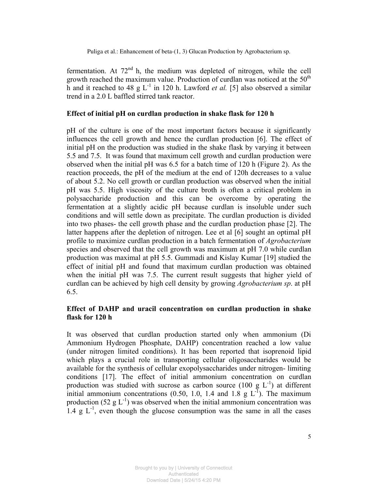fermentation. At  $72<sup>nd</sup>$  h, the medium was depleted of nitrogen, while the cell growth reached the maximum value. Production of curdlan was noticed at the  $50<sup>th</sup>$ h and it reached to 48 g  $L^{-1}$  in 120 h. Lawford *et al.* [5] also observed a similar trend in a 2.0 L baffled stirred tank reactor.

### **Effect of initial pH on curdlan production in shake flask for 120 h**

pH of the culture is one of the most important factors because it significantly influences the cell growth and hence the curdlan production [6]. The effect of initial pH on the production was studied in the shake flask by varying it between 5.5 and 7.5. It was found that maximum cell growth and curdlan production were observed when the initial pH was 6.5 for a batch time of 120 h (Figure 2). As the reaction proceeds, the pH of the medium at the end of 120h decreases to a value of about 5.2. No cell growth or curdlan production was observed when the initial pH was 5.5. High viscosity of the culture broth is often a critical problem in polysaccharide production and this can be overcome by operating the fermentation at a slightly acidic pH because curdlan is insoluble under such conditions and will settle down as precipitate. The curdlan production is divided into two phases- the cell growth phase and the curdlan production phase [2]. The latter happens after the depletion of nitrogen. Lee et al [6] sought an optimal pH profile to maximize curdlan production in a batch fermentation of *Agrobacterium* species and observed that the cell growth was maximum at pH 7.0 while curdlan production was maximal at pH 5.5. Gummadi and Kislay Kumar [19] studied the effect of initial pH and found that maximum curdlan production was obtained when the initial pH was 7.5. The current result suggests that higher yield of curdlan can be achieved by high cell density by growing *Agrobacterium sp*. at pH 6.5.

# **Effect of DAHP and uracil concentration on curdlan production in shake flask for 120 h**

It was observed that curdlan production started only when ammonium (Di Ammonium Hydrogen Phosphate, DAHP) concentration reached a low value (under nitrogen limited conditions). It has been reported that isoprenoid lipid which plays a crucial role in transporting cellular oligosaccharides would be available for the synthesis of cellular exopolysaccharides under nitrogen- limiting conditions [17]. The effect of initial ammonium concentration on curdlan production was studied with sucrose as carbon source (100 g  $L^{-1}$ ) at different initial ammonium concentrations (0.50, 1.0, 1.4 and 1.8 g  $L^{T}$ ). The maximum production (52  $g L^{-1}$ ) was observed when the initial ammonium concentration was 1.4 g  $L^{-1}$ , even though the glucose consumption was the same in all the cases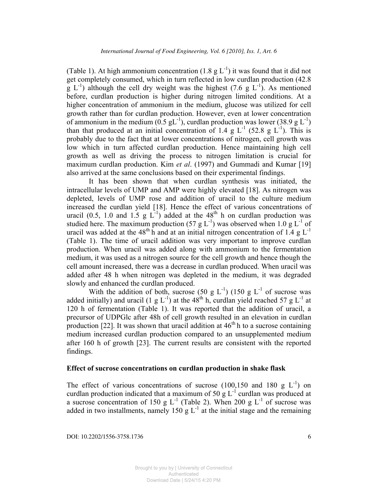(Table 1). At high ammonium concentration  $(1.8 \text{ g L}^{-1})$  it was found that it did not get completely consumed, which in turn reflected in low curdlan production (42.8  $g L^{-1}$ ) although the cell dry weight was the highest (7.6 g  $L^{-1}$ ). As mentioned before, curdlan production is higher during nitrogen limited conditions. At a higher concentration of ammonium in the medium, glucose was utilized for cell growth rather than for curdlan production. However, even at lower concentration of ammonium in the medium  $(0.5 \text{ gL}^{-1})$ , curdlan production was lower (38.9 g L<sup>-1</sup>) than that produced at an initial concentration of 1.4 g  $L^{-1}$  (52.8 g  $L^{-1}$ ). This is probably due to the fact that at lower concentrations of nitrogen, cell growth was low which in turn affected curdlan production. Hence maintaining high cell growth as well as driving the process to nitrogen limitation is crucial for maximum curdlan production. Kim *et al*. (1997) and Gummadi and Kumar [19] also arrived at the same conclusions based on their experimental findings.

It has been shown that when curdlan synthesis was initiated, the intracellular levels of UMP and AMP were highly elevated [18]. As nitrogen was depleted, levels of UMP rose and addition of uracil to the culture medium increased the curdlan yield [18]. Hence the effect of various concentrations of uracil (0.5, 1.0 and 1.5 g  $L^{-1}$ ) added at the 48<sup>th</sup> h on curdlan production was studied here. The maximum production (57 g  $L^{-1}$ ) was observed when 1.0 g  $L^{-1}$  of uracil was added at the 48<sup>th</sup> h and at an initial nitrogen concentration of 1.4 g L<sup>-1</sup> (Table 1). The time of uracil addition was very important to improve curdlan production. When uracil was added along with ammonium to the fermentation medium, it was used as a nitrogen source for the cell growth and hence though the cell amount increased, there was a decrease in curdlan produced. When uracil was added after 48 h when nitrogen was depleted in the medium, it was degraded slowly and enhanced the curdlan produced.

With the addition of both, sucrose (50 g  $L^{-1}$ ) (150 g  $L^{-1}$  of sucrose was added initially) and uracil (1 g  $L^{-1}$ ) at the 48<sup>th</sup> h, curdlan yield reached 57 g  $L^{-1}$  at 120 h of fermentation (Table 1). It was reported that the addition of uracil, a precursor of UDPGlc after 48h of cell growth resulted in an elevation in curdlan production  $[22]$ . It was shown that uracil addition at  $46<sup>th</sup>$  h to a sucrose containing medium increased curdlan production compared to an unsupplemented medium after 160 h of growth [23]. The current results are consistent with the reported findings.

# **Effect of sucrose concentrations on curdlan production in shake flask**

The effect of various concentrations of sucrose (100,150 and 180 g  $L^{-1}$ ) on curdlan production indicated that a maximum of 50 g  $L^{-1}$  curdlan was produced at a sucrose concentration of 150 g  $L^{-1}$  (Table 2). When 200 g  $L^{-1}$  of sucrose was added in two installments, namely 150 g  $L^{-1}$  at the initial stage and the remaining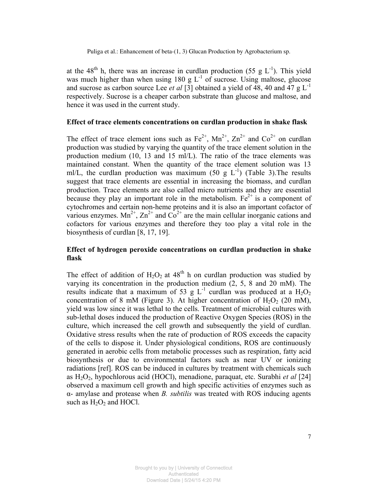at the 48<sup>th</sup> h, there was an increase in curdlan production (55 g  $L^{-1}$ ). This yield was much higher than when using 180 g  $L^{-1}$  of sucrose. Using maltose, glucose and sucrose as carbon source Lee *et al* [3] obtained a yield of 48, 40 and 47  $g L^{-1}$ respectively. Sucrose is a cheaper carbon substrate than glucose and maltose, and hence it was used in the current study.

#### **Effect of trace elements concentrations on curdlan production in shake flask**

The effect of trace element ions such as  $Fe^{2+}$ ,  $Mn^{2+}$ ,  $Zn^{2+}$  and  $Co^{2+}$  on curdlan production was studied by varying the quantity of the trace element solution in the production medium (10, 13 and 15 ml/L). The ratio of the trace elements was maintained constant. When the quantity of the trace element solution was 13 ml/L, the curdlan production was maximum (50 g  $L^{-1}$ ) (Table 3). The results suggest that trace elements are essential in increasing the biomass, and curdlan production. Trace elements are also called micro nutrients and they are essential because they play an important role in the metabolism.  $Fe^{2+}$  is a component of cytochromes and certain non-heme proteins and it is also an important cofactor of various enzymes.  $Mn^{2+}$ ,  $Zn^{2+}$  and  $Cn^{2+}$  are the main cellular inorganic cations and cofactors for various enzymes and therefore they too play a vital role in the biosynthesis of curdlan [8, 17, 19].

# **Effect of hydrogen peroxide concentrations on curdlan production in shake flask**

The effect of addition of  $H_2O_2$  at 48<sup>th</sup> h on curdlan production was studied by varying its concentration in the production medium  $(2, 5, 8 \text{ and } 20 \text{ mM})$ . The results indicate that a maximum of 53 g  $L^{-1}$  curdlan was produced at a  $H_2O_2$ concentration of 8 mM (Figure 3). At higher concentration of  $H_2O_2$  (20 mM), yield was low since it was lethal to the cells. Treatment of microbial cultures with sub-lethal doses induced the production of Reactive Oxygen Species (ROS) in the culture, which increased the cell growth and subsequently the yield of curdlan. Oxidative stress results when the rate of production of ROS exceeds the capacity of the cells to dispose it. Under physiological conditions, ROS are continuously generated in aerobic cells from metabolic processes such as respiration, fatty acid biosynthesis or due to environmental factors such as near UV or ionizing radiations [ref]. ROS can be induced in cultures by treatment with chemicals such as H2O2, hypochlorous acid (HOCl), menadione, paraquat, etc. Surabhi *et al* [24] observed a maximum cell growth and high specific activities of enzymes such as α- amylase and protease when *B. subtilis* was treated with ROS inducing agents such as  $H_2O_2$  and HOCl.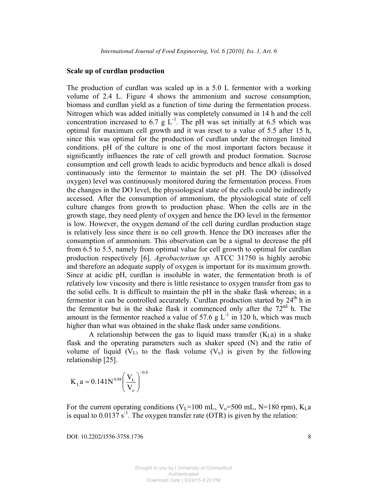#### **Scale up of curdlan production**

The production of curdlan was scaled up in a 5.0 L fermentor with a working volume of 2.4 L. Figure 4 shows the ammonium and sucrose consumption, biomass and curdlan yield as a function of time during the fermentation process. Nitrogen which was added initially was completely consumed in 14 h and the cell concentration increased to 6.7 g  $L^{-1}$ . The pH was set initially at 6.5 which was optimal for maximum cell growth and it was reset to a value of 5.5 after 15 h, since this was optimal for the production of curdlan under the nitrogen limited conditions. pH of the culture is one of the most important factors because it significantly influences the rate of cell growth and product formation. Sucrose consumption and cell growth leads to acidic byproducts and hence alkali is dosed continuously into the fermentor to maintain the set pH. The DO (dissolved oxygen) level was continuously monitored during the fermentation process. From the changes in the DO level, the physiological state of the cells could be indirectly accessed. After the consumption of ammonium, the physiological state of cell culture changes from growth to production phase. When the cells are in the growth stage, they need plenty of oxygen and hence the DO level in the fermentor is low. However, the oxygen demand of the cell during curdlan production stage is relatively less since there is no cell growth. Hence the DO increases after the consumption of ammonium. This observation can be a signal to decrease the pH from 6.5 to 5.5, namely from optimal value for cell growth to optimal for curdlan production respectively [6]. *Agrobacterium sp.* ATCC 31750 is highly aerobic and therefore an adequate supply of oxygen is important for its maximum growth. Since at acidic pH, curdlan is insoluble in water, the fermentation broth is of relatively low viscosity and there is little resistance to oxygen transfer from gas to the solid cells. It is difficult to maintain the pH in the shake flask whereas; in a fermentor it can be controlled accurately. Curdlan production started by  $24<sup>th</sup>$ h in the fermentor but in the shake flask it commenced only after the  $72<sup>nd</sup>$  h. The amount in the fermentor reached a value of 57.6 g  $L^{-1}$  in 120 h, which was much higher than what was obtained in the shake flask under same conditions.

A relationship between the gas to liquid mass transfer  $(K<sub>L</sub>a)$  in a shake flask and the operating parameters such as shaker speed (N) and the ratio of volume of liquid  $(V_L)$  to the flask volume  $(V_o)$  is given by the following relationship [25].

$$
K_{\rm L}a = 0.141 N^{0.88} \left(\frac{V_{\rm L}}{V_{\rm o}}\right)^{-0.8}
$$

For the current operating conditions (V<sub>L</sub>=100 mL, V<sub>0</sub>=500 mL, N=180 rpm), K<sub>L</sub>a is equal to  $0.0137 \, \text{s}^{-1}$ . The oxygen transfer rate (OTR) is given by the relation: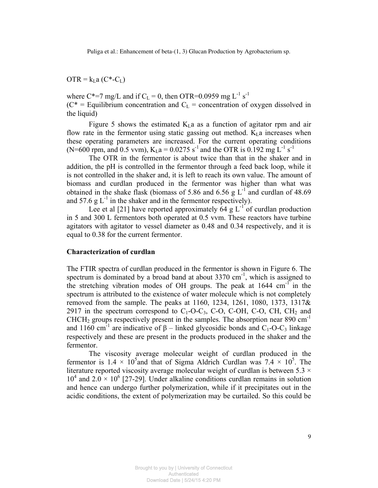$\overline{OTR} = k_L a (C^* - C_L)$ 

where C\*=7 mg/L and if C<sub>L</sub> = 0, then OTR=0.0959 mg L<sup>-1</sup> s<sup>-1</sup>  $(C^* =$  Equilibrium concentration and  $C_L$  = concentration of oxygen dissolved in the liquid)

Figure 5 shows the estimated  $K<sub>L</sub>a$  as a function of agitator rpm and air flow rate in the fermentor using static gassing out method.  $K<sub>L</sub>$  a increases when these operating parameters are increased. For the current operating conditions (N=600 rpm, and 0.5 vvm),  $K_{I}a = 0.0275 s^{-1}$  and the OTR is 0.192 mg L<sup>-1</sup> s<sup>-1</sup>

The OTR in the fermentor is about twice than that in the shaker and in addition, the pH is controlled in the fermentor through a feed back loop, while it is not controlled in the shaker and, it is left to reach its own value. The amount of biomass and curdlan produced in the fermentor was higher than what was obtained in the shake flask (biomass of 5.86 and 6.56 g  $L^{-1}$  and curdlan of 48.69 and 57.6 g  $L^{-1}$  in the shaker and in the fermentor respectively).

Lee et al [21] have reported approximately 64 g  $L^{-1}$  of curdlan production in 5 and 300 L fermentors both operated at 0.5 vvm. These reactors have turbine agitators with agitator to vessel diameter as 0.48 and 0.34 respectively, and it is equal to 0.38 for the current fermentor.

#### **Characterization of curdlan**

The FTIR spectra of curdlan produced in the fermentor is shown in Figure 6. The spectrum is dominated by a broad band at about  $3370 \text{ cm}^{-1}$ , which is assigned to the stretching vibration modes of OH groups. The peak at  $1644 \text{ cm}^{-1}$  in the spectrum is attributed to the existence of water molecule which is not completely removed from the sample. The peaks at 1160, 1234, 1261, 1080, 1373, 1317& 2917 in the spectrum correspond to  $C_1$ -O-C<sub>3</sub>, C-O, C-OH, C-O, CH, CH<sub>2</sub> and CHCH<sub>2</sub> groups respectively present in the samples. The absorption near 890 cm<sup>-1</sup> and 1160 cm<sup>-1</sup> are indicative of  $\beta$  – linked glycosidic bonds and C<sub>1</sub>-O-C<sub>3</sub> linkage respectively and these are present in the products produced in the shaker and the fermentor.

The viscosity average molecular weight of curdlan produced in the fermentor is  $1.4 \times 10^5$  and that of Sigma Aldrich Curdlan was  $7.4 \times 10^5$ . The literature reported viscosity average molecular weight of curdlan is between  $5.3 \times$  $10^4$  and  $2.0 \times 10^6$  [27-29]. Under alkaline conditions curdlan remains in solution and hence can undergo further polymerization, while if it precipitates out in the acidic conditions, the extent of polymerization may be curtailed. So this could be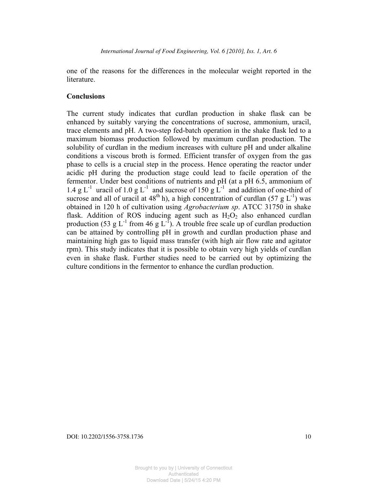one of the reasons for the differences in the molecular weight reported in the **literature** 

#### **Conclusions**

The current study indicates that curdlan production in shake flask can be enhanced by suitably varying the concentrations of sucrose, ammonium, uracil, trace elements and pH. A two-step fed-batch operation in the shake flask led to a maximum biomass production followed by maximum curdlan production. The solubility of curdlan in the medium increases with culture pH and under alkaline conditions a viscous broth is formed. Efficient transfer of oxygen from the gas phase to cells is a crucial step in the process. Hence operating the reactor under acidic pH during the production stage could lead to facile operation of the fermentor. Under best conditions of nutrients and pH (at a pH 6.5, ammonium of 1.4 g L<sup>-1</sup> uracil of 1.0 g L<sup>-1</sup> and sucrose of 150 g L<sup>-1</sup> and addition of one-third of sucrose and all of uracil at  $48<sup>th</sup>$  h), a high concentration of curdlan (57 g L<sup>-1</sup>) was obtained in 120 h of cultivation using *Agrobacterium sp*. ATCC 31750 in shake flask. Addition of ROS inducing agent such as  $H_2O_2$  also enhanced curdlan production (53 g L<sup>-1</sup> from 46 g L<sup>-1</sup>). A trouble free scale up of curdlan production can be attained by controlling pH in growth and curdlan production phase and maintaining high gas to liquid mass transfer (with high air flow rate and agitator rpm). This study indicates that it is possible to obtain very high yields of curdlan even in shake flask. Further studies need to be carried out by optimizing the culture conditions in the fermentor to enhance the curdlan production.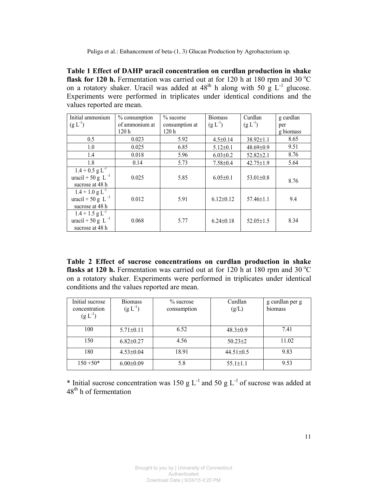**Table 1 Effect of DAHP uracil concentration on curdlan production in shake flask for 120 h.** Fermentation was carried out at for 120 h at 180 rpm and 30  $^{\circ}$ C on a rotatory shaker. Uracil was added at  $48<sup>th</sup>$  h along with 50 g  $L^{-1}$  glucose. Experiments were performed in triplicates under identical conditions and the values reported are mean.

| Initial ammonium                                                            | % consumption    | $\%$ sucorse     | <b>Biomass</b>  | Curdlan         | g curdlan |
|-----------------------------------------------------------------------------|------------------|------------------|-----------------|-----------------|-----------|
| $(g L^{-1})$                                                                | of ammonium at   | consumption at   | $(g L^{-1})$    | $(g L^{-1})$    | per       |
|                                                                             | 120 <sub>h</sub> | 120 <sub>h</sub> |                 |                 | g biomass |
| 0.5                                                                         | 0.023            | 5.92             | $4.5 \pm 0.14$  | $38.92 \pm 1.1$ | 8.65      |
| 1.0                                                                         | 0.025            | 6.85             | $5.12 \pm 0.1$  | $48.69 \pm 0.9$ | 9.51      |
| 1.4                                                                         | 0.018            | 5.96             | $6.03 \pm 0.2$  | $52.82 \pm 2.1$ | 8.76      |
| 1.8                                                                         | 0.14             | 5.73             | $7.58 \pm 0.4$  | $42.75 \pm 1.9$ | 5.64      |
| $1.4 + 0.5$ g L <sup>-1</sup><br>uracil + 50 g L $^{-1}$<br>sucrose at 48 h | 0.025            | 5.85             | $6.05 \pm 0.1$  | 53.01±0.8       | 8.76      |
| $1.4 + 1.0$ g L <sup>-1</sup><br>uracil + 50 g L $^{-1}$<br>sucrose at 48 h | 0.012            | 5.91             | $6.12 \pm 0.12$ | $57.46 \pm 1.1$ | 9.4       |
| $1.4 + 1.5$ g L <sup>-1</sup><br>uracil + 50 g L $^{-1}$<br>sucrose at 48 h | 0.068            | 5.77             | $6.24 \pm 0.18$ | $52.05 \pm 1.5$ | 8.34      |

**Table 2 Effect of sucrose concentrations on curdlan production in shake flasks at 120 h.** Fermentation was carried out at for 120 h at 180 rpm and 30  $^{\circ}$ C on a rotatory shaker. Experiments were performed in triplicates under identical conditions and the values reported are mean.

| Initial sucrose<br>concentration<br>$(g L^{-1})$ | <b>Biomass</b><br>$(g L^{-1})$ | $\%$ sucrose<br>consumption | Curdlan<br>(g/L) | g curdlan per g<br>biomass |
|--------------------------------------------------|--------------------------------|-----------------------------|------------------|----------------------------|
| 100                                              | $5.71 \pm 0.11$                | 6.52                        | $48.3 \pm 0.9$   | 7.41                       |
| 150                                              | $6.82{\pm}0.27$                | 4.56                        | $50.23 \pm 2$    | 11.02                      |
| 180                                              | $4.53 \pm 0.04$                | 18.91                       | $44.51 \pm 0.5$  | 9.83                       |
| $150 + 50*$                                      | $6.00 \pm 0.09$                | 5.8                         | $55.1 \pm 1.1$   | 9.53                       |

\* Initial sucrose concentration was 150 g  $L^{-1}$  and 50 g  $L^{-1}$  of sucrose was added at 48<sup>th</sup> h of fermentation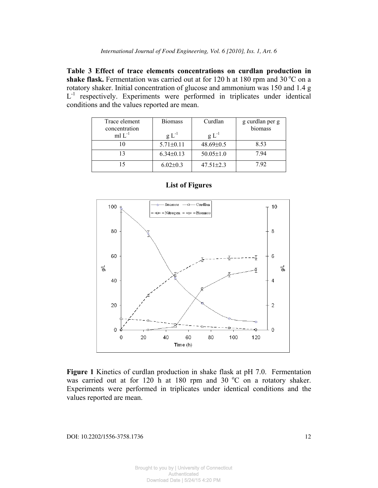**Table 3 Effect of trace elements concentrations on curdlan production in**  shake flask. Fermentation was carried out at for  $120$  h at  $180$  rpm and  $30^{\circ}$ C on a rotatory shaker. Initial concentration of glucose and ammonium was 150 and 1.4 g L<sup>-1</sup> respectively. Experiments were performed in triplicates under identical conditions and the values reported are mean.

| Trace element<br>concentration | <b>Biomass</b>  | Curdlan         | g curdlan per g<br>biomass |
|--------------------------------|-----------------|-----------------|----------------------------|
| ml $L^{-1}$                    | $g L^{-1}$      | $g L^{-1}$      |                            |
|                                | $5.71 \pm 0.11$ | $48.69 \pm 0.5$ | 8.53                       |
|                                | $6.34\pm0.13$   | $50.05 \pm 1.0$ | 794                        |
|                                | $6.02 \pm 0.3$  | $47.51 \pm 2.3$ | 792                        |



### **List of Figures**

**Figure 1** Kinetics of curdlan production in shake flask at pH 7.0. Fermentation was carried out at for 120 h at 180 rpm and 30  $^{\circ}$ C on a rotatory shaker. Experiments were performed in triplicates under identical conditions and the values reported are mean.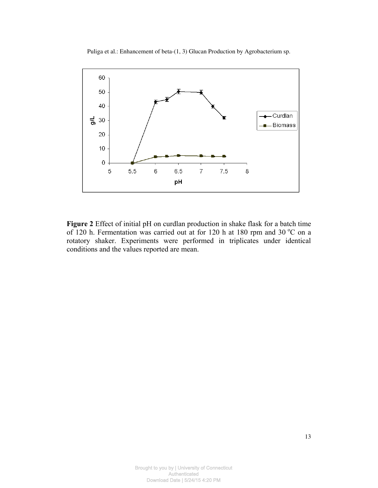

**Figure 2** Effect of initial pH on curdlan production in shake flask for a batch time of 120 h. Fermentation was carried out at for 120 h at 180 rpm and 30  $^{\circ}$ C on a rotatory shaker. Experiments were performed in triplicates under identical conditions and the values reported are mean.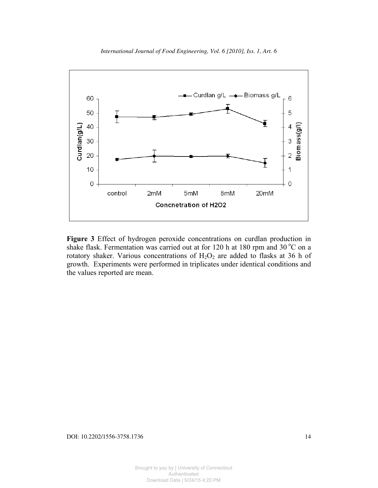

*International Journal of Food Engineering, Vol. 6 [2010], Iss. 1, Art. 6*

**Figure 3** Effect of hydrogen peroxide concentrations on curdlan production in shake flask. Fermentation was carried out at for 120 h at 180 rpm and 30  $^{\circ}$ C on a rotatory shaker. Various concentrations of  $H_2O_2$  are added to flasks at 36 h of growth. Experiments were performed in triplicates under identical conditions and the values reported are mean.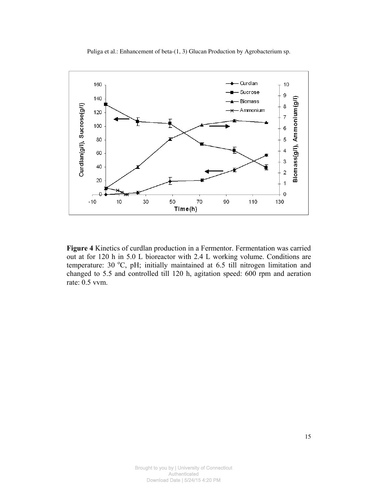

**Figure 4** Kinetics of curdlan production in a Fermentor. Fermentation was carried out at for 120 h in 5.0 L bioreactor with 2.4 L working volume. Conditions are temperature: 30 $^{\circ}$ C, pH; initially maintained at 6.5 till nitrogen limitation and changed to 5.5 and controlled till 120 h, agitation speed: 600 rpm and aeration rate: 0.5 vvm.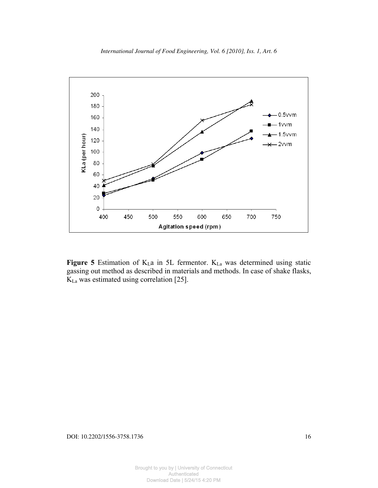



Figure 5 Estimation of K<sub>L</sub>a in 5L fermentor. K<sub>La</sub> was determined using static gassing out method as described in materials and methods. In case of shake flasks,  $K_{La}$  was estimated using correlation [25].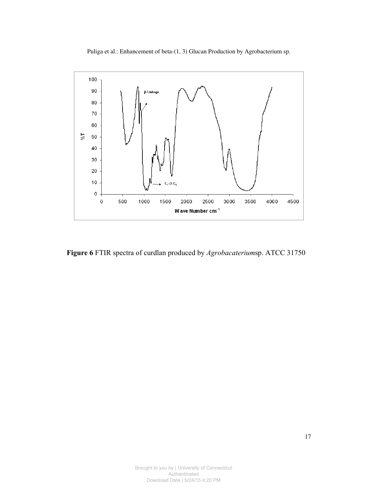

**Figure 6** FTIR spectra of curdlan produced by *Agrobacaterium*sp. ATCC 31750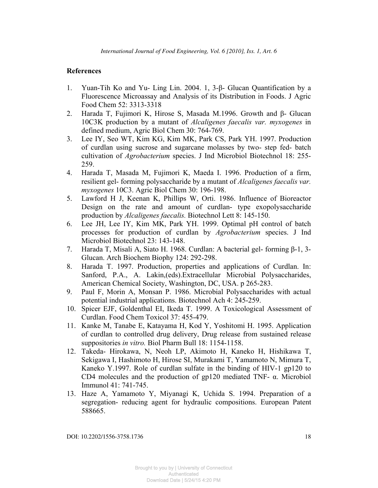# **References**

- 1. Yuan-Tih Ko and Yu- Ling Lin. 2004. 1, 3-β- Glucan Quantification by a Fluorescence Microassay and Analysis of its Distribution in Foods. J Agric Food Chem 52: 3313-3318
- 2. Harada T, Fujimori K, Hirose S, Masada M.1996. Growth and β- Glucan 10C3K production by a mutant of *Alcaligenes faecalis var. myxogenes* in defined medium, Agric Biol Chem 30: 764-769.
- 3. Lee IY, Seo WT, Kim KG, Kim MK, Park CS, Park YH. 1997. Production of curdlan using sucrose and sugarcane molasses by two- step fed- batch cultivation of *Agrobacterium* species. J Ind Microbiol Biotechnol 18: 255- 259.
- 4. Harada T, Masada M, Fujimori K, Maeda I. 1996. Production of a firm, resilient gel- forming polysaccharide by a mutant of *Alcaligenes faecalis var. myxogenes* 10C3. Agric Biol Chem 30: 196-198.
- 5. Lawford H J, Keenan K, Phillips W, Orti. 1986. Influence of Bioreactor Design on the rate and amount of curdlan- type exopolysaccharide production by *Alcaligenes faecalis.* Biotechnol Lett 8: 145-150.
- 6. Lee JH, Lee IY, Kim MK, Park YH. 1999. Optimal pH control of batch processes for production of curdlan by *Agrobacterium* species. J Ind Microbiol Biotechnol 23: 143-148.
- 7. Harada T, Misali A, Siato H. 1968. Curdlan: A bacterial gel- forming β-1, 3- Glucan. Arch Biochem Biophy 124: 292-298.
- 8. Harada T. 1997. Production, properties and applications of Curdlan. In: Sanford, P.A., A. Lakin,(eds).Extracellular Microbial Polysaccharides, American Chemical Society, Washington, DC, USA. p 265-283.
- 9. Paul F, Morin A, Monsan P. 1986. Microbial Polysaccharides with actual potential industrial applications. Biotechnol Ach 4: 245-259.
- 10. Spicer EJF, Goldenthal EI, Ikeda T. 1999. A Toxicological Assessment of Curdlan. Food Chem Toxicol 37: 455-479.
- 11. Kanke M, Tanabe E, Katayama H, Kod Y, Yoshitomi H. 1995. Application of curdlan to controlled drug delivery, Drug release from sustained release suppositories *in vitro.* Biol Pharm Bull 18: 1154-1158.
- 12. Takeda- Hirokawa, N, Neoh LP, Akimoto H, Kaneko H, Hishikawa T, Sekigawa I, Hashimoto H, Hirose SI, Murakami T, Yamamoto N, Mimura T, Kaneko Y.1997. Role of curdlan sulfate in the binding of HIV-1 gp120 to CD4 molecules and the production of gp120 mediated TNF- α. Microbiol Immunol 41: 741-745.
- 13. Haze A, Yamamoto Y, Miyanagi K, Uchida S. 1994. Preparation of a segregation- reducing agent for hydraulic compositions. European Patent 588665.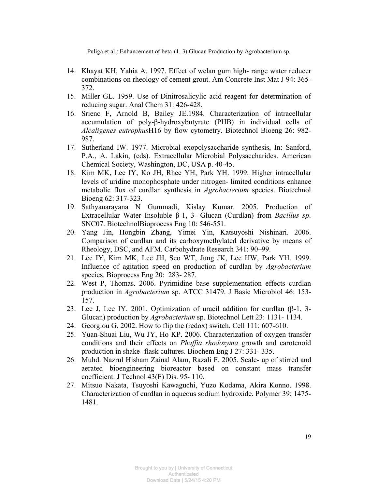- 14. Khayat KH, Yahia A. 1997. Effect of welan gum high- range water reducer combinations on rheology of cement grout. Am Concrete Inst Mat J 94: 365- 372.
- 15. Miller GL. 1959. Use of Dinitrosalicylic acid reagent for determination of reducing sugar. Anal Chem 31: 426-428.
- 16. Srienc F, Arnold B, Bailey JE.1984. Characterization of intracellular accumulation of poly-β-hydroxybutyrate (PHB) in individual cells of *Alcaligenes eutrophus*H16 by flow cytometry. Biotechnol Bioeng 26: 982- 987.
- 17. Sutherland IW. 1977. Microbial exopolysaccharide synthesis, In: Sanford, P.A., A. Lakin, (eds). Extracellular Microbial Polysaccharides. American Chemical Society, Washington, DC, USA p. 40-45.
- 18. Kim MK, Lee IY, Ko JH, Rhee YH, Park YH. 1999. Higher intracellular levels of uridine monophosphate under nitrogen- limited conditions enhance metabolic flux of curdlan synthesis in *Agrobacterium* species. Biotechnol Bioeng 62: 317-323.
- 19. Sathyanarayana N Gummadi, Kislay Kumar. 2005. Production of Extracellular Water Insoluble β-1, 3- Glucan (Curdlan) from *Bacillus sp*. SNC07. BiotechnolBioprocess Eng 10: 546-551.
- 20. Yang Jin, Hongbin Zhang, Yimei Yin, Katsuyoshi Nishinari. 2006. Comparison of curdlan and its carboxymethylated derivative by means of Rheology, DSC, and AFM. Carbohydrate Research 341: 90–99.
- 21. Lee IY, Kim MK, Lee JH, Seo WT, Jung JK, Lee HW, Park YH. 1999. Influence of agitation speed on production of curdlan by *Agrobacterium* species. Bioprocess Eng 20: 283- 287.
- 22. West P, Thomas. 2006. Pyrimidine base supplementation effects curdlan production in *Agrobacterium* sp. ATCC 31479. J Basic Microbiol 46: 153- 157.
- 23. Lee J, Lee IY. 2001. Optimization of uracil addition for curdlan (β-1, 3- Glucan) production by *Agrobacterium* sp. Biotechnol Lett 23: 1131- 1134.
- 24. Georgiou G. 2002. How to flip the (redox) switch. Cell 111: 607-610.
- 25. Yuan-Shuai Liu, Wu JY, Ho KP. 2006. Characterization of oxygen transfer conditions and their effects on *Phaffia rhodozyma* growth and carotenoid production in shake- flask cultures. Biochem Eng J 27: 331- 335.
- 26. Muhd. Nazrul Hisham Zainal Alam, Razali F. 2005. Scale- up of stirred and aerated bioengineering bioreactor based on constant mass transfer coefficient. J Technol 43(F) Dis. 95- 110.
- 27. Mitsuo Nakata, Tsuyoshi Kawaguchi, Yuzo Kodama, Akira Konno. 1998. Characterization of curdlan in aqueous sodium hydroxide. Polymer 39: 1475- 1481.